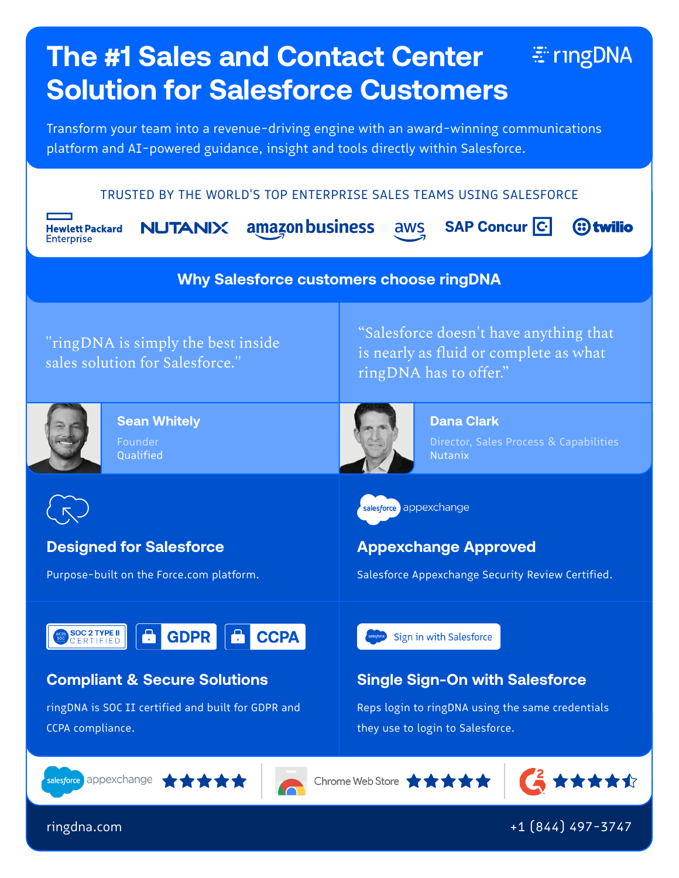## **The #1 Sales and Contact Center**  EingDNA **Solution for Salesforce Customers** Transform your team into a revenue-driving engine with an award-winning communications platform and AI-powered guidance, insight and tools directly within Salesforce. TRUSTED BY THE WORLD'S TOP ENTERPRISE SALES TEAMS USING SALESFORCE amazon business **SAP Concur C. NUTANIX** (:) twilio aws **Hewlett Packard Enterprise Why Salesforce customers choose ringDNA**"Salesforce doesn't have anything that "ringDNA is simply the best inside is nearly as fluid or complete as what sales solution for Salesforce." ringDNA has to offer." **Other ringDNA Solutions Sean Whitely Dana Clark**

Qualified Nutanix Control of the Nutanix Control of the Nutanix Control of the Nutanix

Founder Director, Sales Process & Capabilities



#### **Designed for Salesforce**

Purpose-built on the Force.com platform.



#### **Compliant & Secure Solutions**

salesforce appexchange

ringDNA is SOC II certified and built for GDPR and CCPA compliance.



**Appexchange Approved**

salesforce appexchange

#### **Single Sign-On with Salesforce**

Reps login to ringDNA using the same credentials they use to login to Salesforce.

Salesforce Appexchange Security Review Certified.



[ringdna.com](https://ringdna.com) +1 (844) 497-3747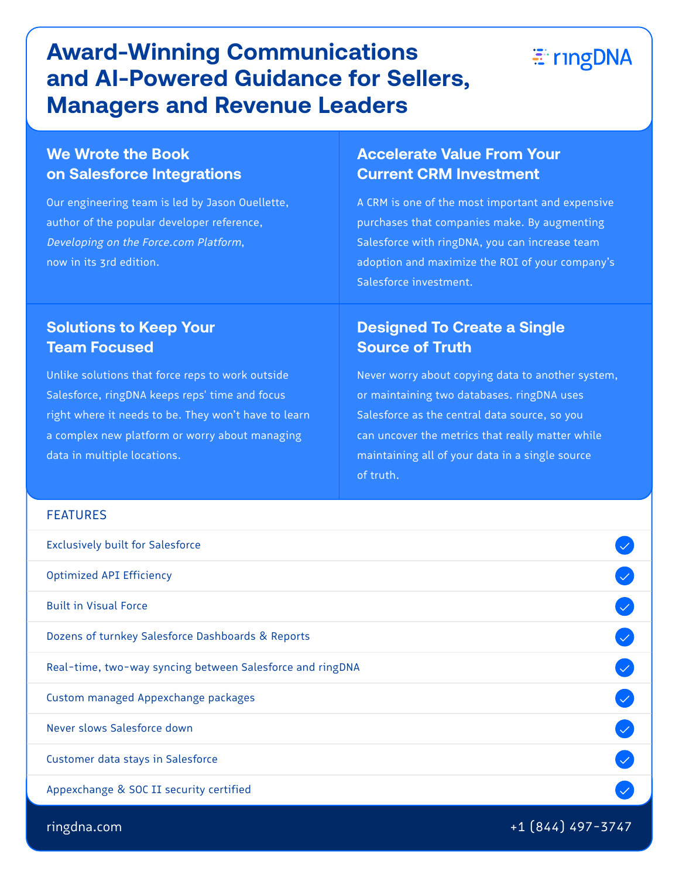## **Award-Winning Communications and AI-Powered Guidance for Sellers, Managers and Revenue Leaders**

### **We Wrote the Book on Salesforce Integrations**

Our engineering team is led by Jason Ouellette, author of the popular developer reference, Developing on the Force.com Platform, now in its 3rd edition.

#### **Accelerate Value From Your Current CRM Investment**

A CRM is one of the most important and expensive purchases that companies make. By augmenting Salesforce with ringDNA, you can increase team adoption and maximize the ROI of your company's Salesforce investment.

Eiring DNA

#### **Solutions to Keep Your Team Focused**

Unlike solutions that force reps to work outside Salesforce, ringDNA keeps reps' time and focus right where it needs to be. They won't have to learn a complex new platform or worry about managing data in multiple locations.

#### **Designed To Create a Single Source of Truth**

Never worry about copying data to another system, or maintaining two databases. ringDNA uses Salesforce as the central data source, so you can uncover the metrics that really matter while maintaining all of your data in a single source of truth.

#### FEATURES

| <b>Exclusively built for Salesforce</b>                   |  |
|-----------------------------------------------------------|--|
| <b>Optimized API Efficiency</b>                           |  |
| <b>Built in Visual Force</b>                              |  |
| Dozens of turnkey Salesforce Dashboards & Reports         |  |
| Real-time, two-way syncing between Salesforce and ringDNA |  |
| Custom managed Appexchange packages                       |  |
| Never slows Salesforce down                               |  |
| Customer data stays in Salesforce                         |  |
| Appexchange & SOC II security certified                   |  |
|                                                           |  |

[ringdna.com](https://ringdna.com) +1 (844) 497-3747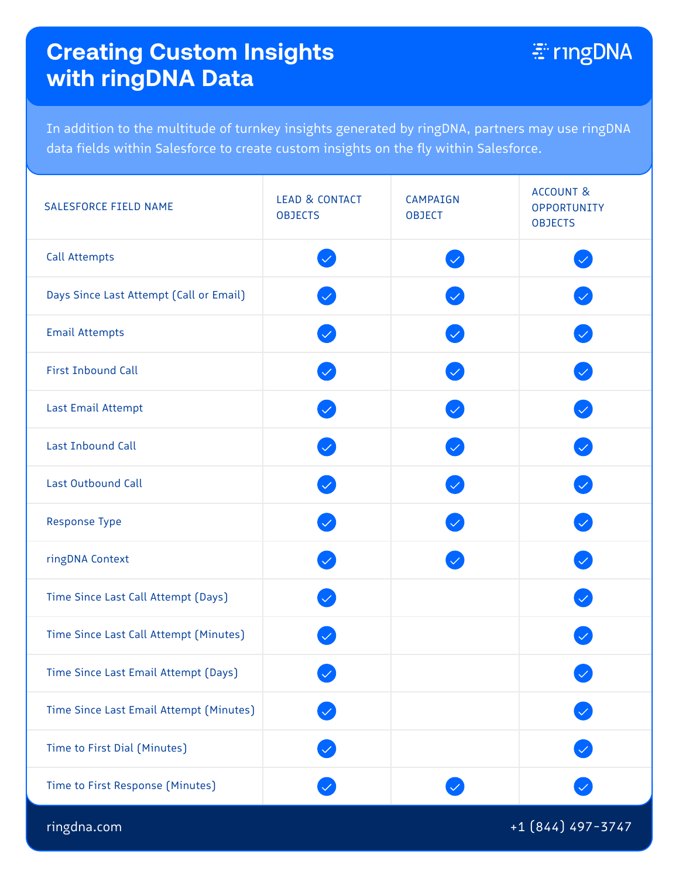## **Creating Custom Insights with ringDNA Data**

**E**ringDNA

In addition to the multitude of turnkey insights generated by ringDNA, partners may use ringDNA data fields within Salesforce to create custom insights on the fly within Salesforce.

| <b>SALESFORCE FIELD NAME</b>            | <b>LEAD &amp; CONTACT</b><br><b>OBJECTS</b> | <b>CAMPAIGN</b><br><b>OBJECT</b> | <b>ACCOUNT &amp;</b><br>OPPORTUNITY<br><b>OBJECTS</b> |
|-----------------------------------------|---------------------------------------------|----------------------------------|-------------------------------------------------------|
| <b>Call Attempts</b>                    | $\boldsymbol{\mathcal{L}}$                  |                                  |                                                       |
| Days Since Last Attempt (Call or Email) | $\checkmark$                                |                                  |                                                       |
| <b>Email Attempts</b>                   |                                             |                                  |                                                       |
| <b>First Inbound Call</b>               |                                             |                                  |                                                       |
| Last Email Attempt                      |                                             |                                  |                                                       |
| Last Inbound Call                       |                                             |                                  |                                                       |
| Last Outbound Call                      | $\bigvee$                                   |                                  |                                                       |
| <b>Response Type</b>                    | $\checkmark$                                |                                  |                                                       |
| ringDNA Context                         |                                             |                                  |                                                       |
| Time Since Last Call Attempt (Days)     |                                             |                                  |                                                       |
| Time Since Last Call Attempt (Minutes)  |                                             |                                  |                                                       |
| Time Since Last Email Attempt (Days)    |                                             |                                  |                                                       |
| Time Since Last Email Attempt (Minutes) |                                             |                                  |                                                       |
| Time to First Dial (Minutes)            |                                             |                                  |                                                       |
| Time to First Response (Minutes)        |                                             |                                  |                                                       |

[ringdna.com](https://ringdna.com) +1 (844) 497-3747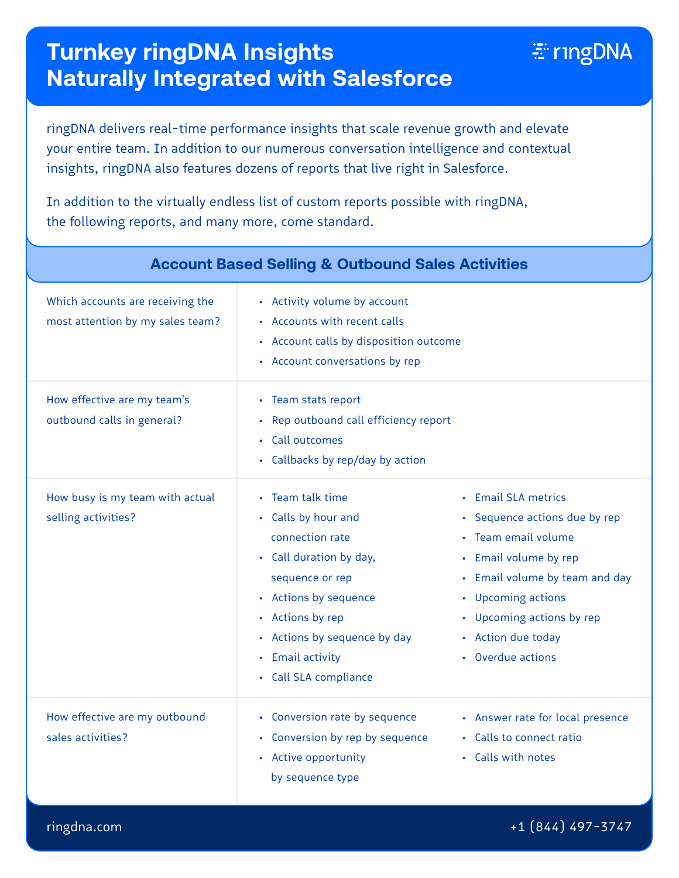## **Turnkey ringDNA Insights Naturally Integrated with Salesforce**

ringDNA delivers real-time performance insights that scale revenue growth and elevate your entire team. In addition to our numerous conversation intelligence and contextual insights, ringDNA also features dozens of reports that live right in Salesforce.

In addition to the virtually endless list of custom reports possible with ringDNA, the following reports, and many more, come standard.

| <b>Account Based Selling &amp; Outbound Sales Activities</b>         |                                                                                                                                                                                                                                    |                                                                                                                                                                                                                                      |
|----------------------------------------------------------------------|------------------------------------------------------------------------------------------------------------------------------------------------------------------------------------------------------------------------------------|--------------------------------------------------------------------------------------------------------------------------------------------------------------------------------------------------------------------------------------|
| Which accounts are receiving the<br>most attention by my sales team? | • Activity volume by account<br>• Accounts with recent calls<br>• Account calls by disposition outcome<br>• Account conversations by rep                                                                                           |                                                                                                                                                                                                                                      |
| How effective are my team's<br>outbound calls in general?            | • Team stats report<br>Rep outbound call efficiency report<br>• Call outcomes<br>• Callbacks by rep/day by action                                                                                                                  |                                                                                                                                                                                                                                      |
| How busy is my team with actual<br>selling activities?               | • Team talk time<br>• Calls by hour and<br>connection rate<br>• Call duration by day,<br>sequence or rep<br>• Actions by sequence<br>• Actions by rep<br>• Actions by sequence by day<br>• Email activity<br>• Call SLA compliance | • Email SLA metrics<br>• Sequence actions due by rep<br>· Team email volume<br>• Email volume by rep<br>• Email volume by team and day<br>• Upcoming actions<br>• Upcoming actions by rep<br>• Action due today<br>• Overdue actions |
| How effective are my outbound<br>sales activities?                   | • Conversion rate by sequence<br>• Conversion by rep by sequence<br>• Active opportunity<br>by sequence type                                                                                                                       | • Answer rate for local presence<br>• Calls to connect ratio<br>• Calls with notes                                                                                                                                                   |

[ringdna.com](https://ringdna.com) +1 (844) 497-3747

**E**ringDNA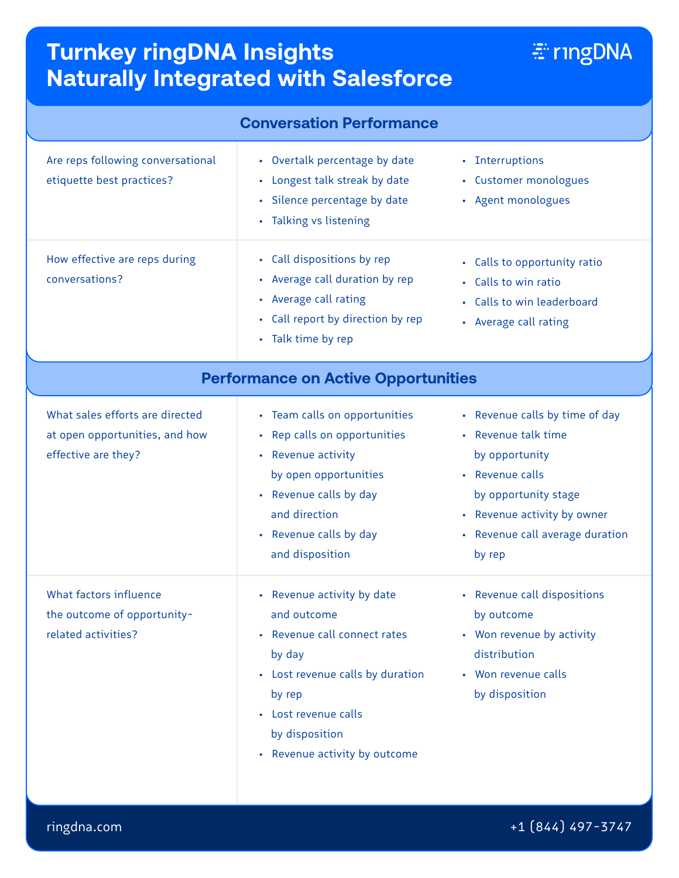# **Turnkey ringDNA Insights Naturally Integrated with Salesforce**

| <b>Conversation Performance</b>                                                          |                                                                                                                                                                                                            |                                                                                                                                                                                                |  |  |
|------------------------------------------------------------------------------------------|------------------------------------------------------------------------------------------------------------------------------------------------------------------------------------------------------------|------------------------------------------------------------------------------------------------------------------------------------------------------------------------------------------------|--|--|
| Are reps following conversational<br>etiquette best practices?                           | • Overtalk percentage by date<br>• Longest talk streak by date<br>• Silence percentage by date<br>• Talking vs listening                                                                                   | • Interruptions<br>• Customer monologues<br>• Agent monologues                                                                                                                                 |  |  |
| How effective are reps during<br>conversations?                                          | • Call dispositions by rep<br>• Average call duration by rep<br>• Average call rating<br>• Call report by direction by rep<br>• Talk time by rep                                                           | • Calls to opportunity ratio<br>• Calls to win ratio<br>• Calls to win leaderboard<br>• Average call rating                                                                                    |  |  |
| <b>Performance on Active Opportunities</b>                                               |                                                                                                                                                                                                            |                                                                                                                                                                                                |  |  |
| What sales efforts are directed<br>at open opportunities, and how<br>effective are they? | • Team calls on opportunities<br>• Rep calls on opportunities<br>• Revenue activity<br>by open opportunities<br>• Revenue calls by day<br>and direction<br>• Revenue calls by day<br>and disposition       | • Revenue calls by time of day<br>• Revenue talk time<br>by opportunity<br>• Revenue calls<br>by opportunity stage<br>• Revenue activity by owner<br>• Revenue call average duration<br>by rep |  |  |
| What factors influence<br>the outcome of opportunity-<br>related activities?             | Revenue activity by date<br>and outcome<br>• Revenue call connect rates<br>by day<br>• Lost revenue calls by duration<br>by rep<br>• Lost revenue calls<br>by disposition<br>• Revenue activity by outcome | Revenue call dispositions<br>by outcome<br>• Won revenue by activity<br>distribution<br>• Won revenue calls<br>by disposition                                                                  |  |  |

[ringdna.com](https://ringdna.com) +1 (844) 497-3747

EingDNA